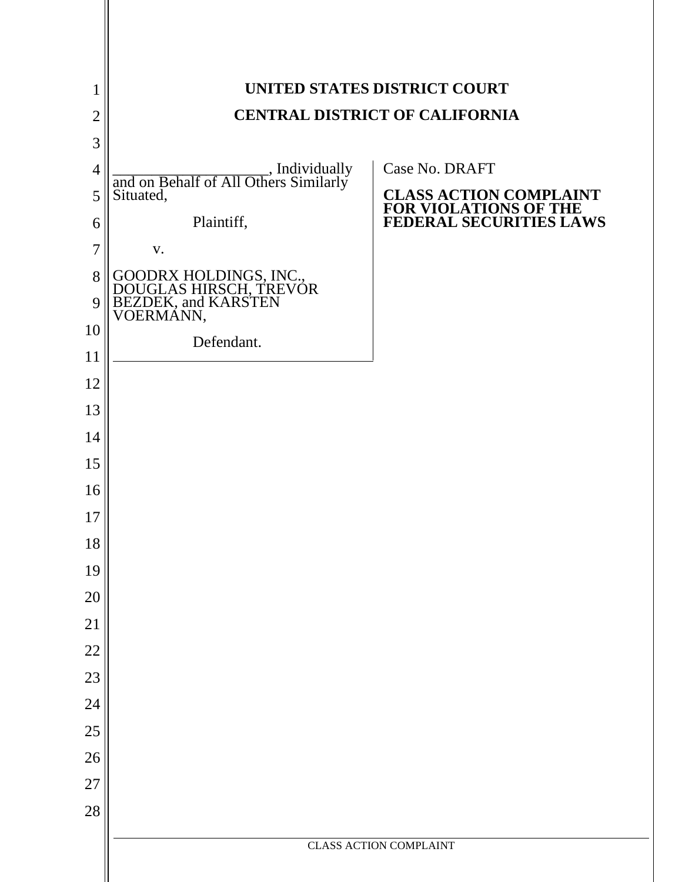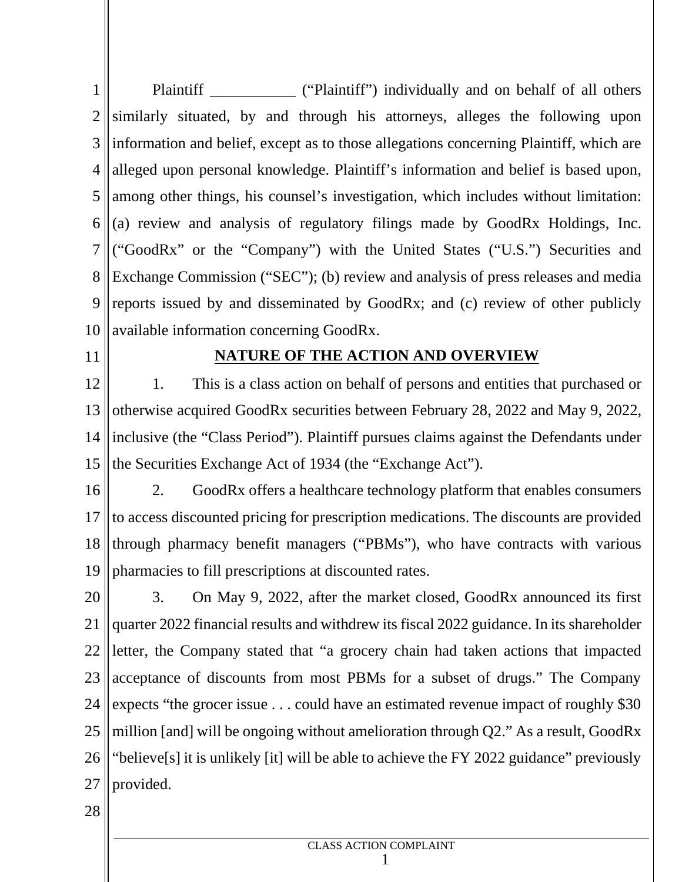$1 \parallel$  F 2 ||similarly situated, by and through his attorneys, alleges the following upon 3 || information and belief, except as to those allegations concerning Plaintiff, which are | 4 || alleged upon personal knowledge. Plaintiff's information and belief is based upon, | 5 among other things, his counsel's investigation, which includes without limitation:  $6 \parallel$  (a) review and analysis of regulatory filings made by GoodRx Holdings, Inc. 7 ("GoodRx" or the "Company") with the United States ("U.S.") Securities and 8 Exchange Commission ("SEC"); (b) review and analysis of press releases and media 9 || reports issued by and disseminated by GoodRx; and (c) review of other publicly | 10 available information concerning GoodRx. Plaintiff **Example 2018** ("Plaintiff") individually and on behalf of all others

11

### **NATURE OF THE ACTION AND OVERVIEW**

 $12 \parallel 1$ . 13 otherwise acquired GoodRx securities between February 28, 2022 and May 9, 2022, 14 || inclusive (the "Class Period"). Plaintiff pursues claims against the Defendants under 15 the Securities Exchange Act of 1934 (the "Exchange Act"). This is a class action on behalf of persons and entities that purchased or

- $16$  | 2.  $17$  to access discounted pricing for prescription medications. The discounts are provided  $\vert$ 18 through pharmacy benefit managers ("PBMs"), who have contracts with various 19 pharmacies to fill prescriptions at discounted rates. 2. GoodRx offers a healthcare technology platform that enables consumers
- $20 \parallel 3$ . 21 quarter 2022 financial results and withdrew its fiscal 2022 guidance. In its shareholder 22 || letter, the Company stated that "a grocery chain had taken actions that impacted | 23 acceptance of discounts from most PBMs for a subset of drugs." The Company 24 || expects "the grocer issue . . . could have an estimated revenue impact of roughly \$30 || 25  $\parallel$  million [and] will be ongoing without amelioration through Q2." As a result, GoodRx  $\parallel$ 26 || "believe[s] it is unlikely [it] will be able to achieve the FY 2022 guidance" previously | 27 provided.3. On May 9, 2022, after the market closed, GoodRx announced its first
- 28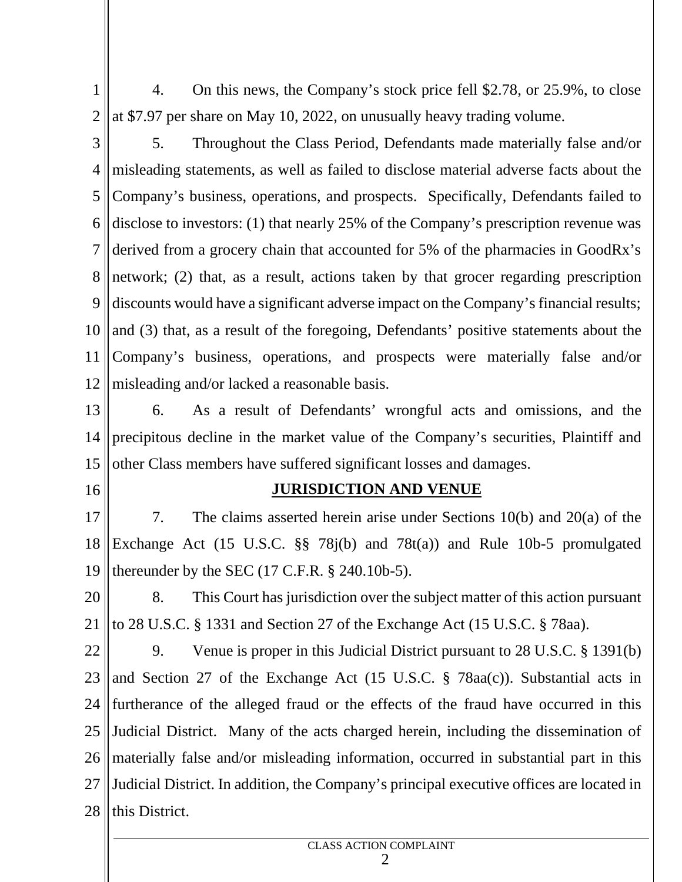- $1 \parallel$  4  $2 \parallel$  at \$7.97 per share on May 10, 2022, on unusually heavy trading volume. 4. On this news, the Company's stock price fell \$2.78, or 25.9%, to close
- 

 $3 \parallel$  5 4 || misleading statements, as well as failed to disclose material adverse facts about the Company's business, operations, and prospects. Specifically, Defendants failed to  $\parallel$  disclose to investors: (1) that nearly 25% of the Company's prescription revenue was derived from a grocery chain that accounted for 5% of the pharmacies in GoodRx's 8 network; (2) that, as a result, actions taken by that grocer regarding prescription discounts would have a significant adverse impact on the Company's financial results; and (3) that, as a result of the foregoing, Defendants' positive statements about the Company's business, operations, and prospects were materially false and/or misleading and/or lacked a reasonable basis. 5. Throughout the Class Period, Defendants made materially false and/or

 $13$  | 6. 14 precipitous decline in the market value of the Company's securities, Plaintiff and 15 other Class members have suffered significant losses and damages. 6. As a result of Defendants' wrongful acts and omissions, and the

16

#### **JURISDICTION AND VENUE**

 $17 \mid 7 \mid$ 18 Exchange Act (15 U.S.C.  $\S$  78j(b) and 78t(a)) and Rule 10b-5 promulgated 19 thereunder by the SEC (17 C.F.R. § 240.10b-5). The claims asserted herein arise under Sections  $10(b)$  and  $20(a)$  of the

 $20$  | 8 21 to 28 U.S.C. § 1331 and Section 27 of the Exchange Act (15 U.S.C. § 78aa). This Court has jurisdiction over the subject matter of this action pursuant

 $22$  | 9. 23 || and Section 27 of the Exchange Act (15 U.S.C.  $\S$  78aa(c)). Substantial acts in 24 || furtherance of the alleged fraud or the effects of the fraud have occurred in this 25 || Judicial District. Many of the acts charged herein, including the dissemination of 26 || materially false and/or misleading information, occurred in substantial part in this 27 || Judicial District. In addition, the Company's principal executive offices are located in  $28$  | this District. 9. Venue is proper in this Judicial District pursuant to 28 U.S.C. § 1391(b)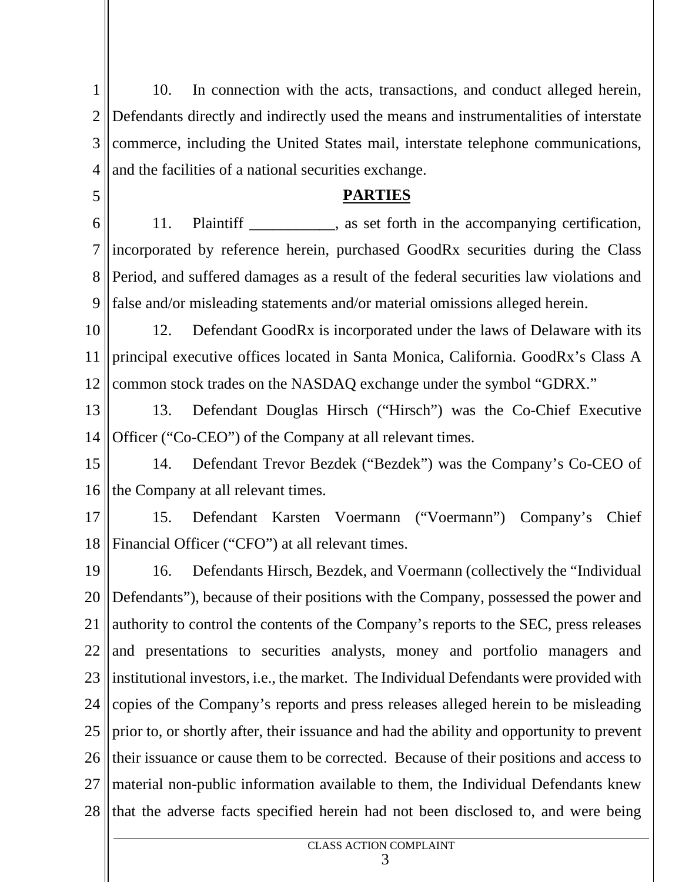$1 \parallel$  1 2 Defendants directly and indirectly used the means and instrumentalities of interstate 3 || commerce, including the United States mail, interstate telephone communications, | 4 || and the facilities of a national securities exchange. 10. In connection with the acts, transactions, and conduct alleged herein,

## **PARTIES**

 $6 \parallel 11$ . 7 incorporated by reference herein, purchased GoodRx securities during the Class 8 Period, and suffered damages as a result of the federal securities law violations and 9 false and/or misleading statements and/or material omissions alleged herein. Plaintiff \_\_\_\_\_\_\_\_\_, as set forth in the accompanying certification,

 $10$  |  $12$ . 11 principal executive offices located in Santa Monica, California. GoodRx's Class A 12 common stock trades on the NASDAQ exchange under the symbol "GDRX." Defendant GoodRx is incorporated under the laws of Delaware with its

 $13$  |  $13$ 14 Officer ("Co-CEO") of the Company at all relevant times. 13. Defendant Douglas Hirsch ("Hirsch") was the Co-Chief Executive

 $15$  |  $14$ 16 the Company at all relevant times. 14. Defendant Trevor Bezdek ("Bezdek") was the Company's Co-CEO of

5

 $17 \parallel 15$ 18 Financial Officer ("CFO") at all relevant times. 15. Defendant Karsten Voermann ("Voermann") Company's Chief

 $19$  | 16. 20 || Defendants"), because of their positions with the Company, possessed the power and | 21 || authority to control the contents of the Company's reports to the SEC, press releases |  $22$  and presentations to securities analysts, money and portfolio managers and 23  $\parallel$  institutional investors, i.e., the market. The Individual Defendants were provided with  $\parallel$ 24 || copies of the Company's reports and press releases alleged herein to be misleading |  $25$  || prior to, or shortly after, their issuance and had the ability and opportunity to prevent | 26 their issuance or cause them to be corrected. Because of their positions and access to 27 || material non-public information available to them, the Individual Defendants knew 28 that the adverse facts specified herein had not been disclosed to, and were being 16. Defendants Hirsch, Bezdek, and Voermann (collectively the "Individual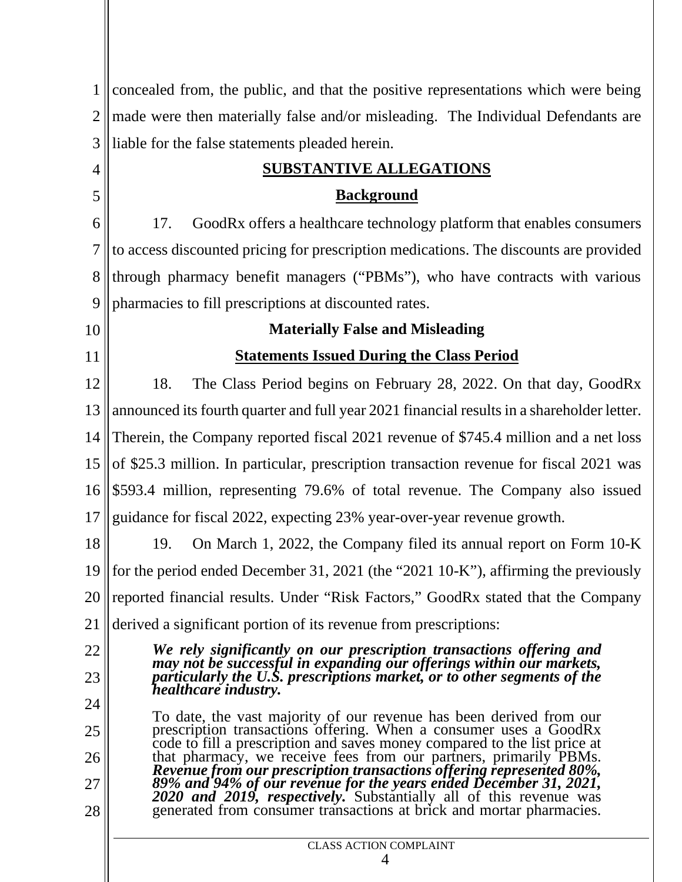| $\mathbf{1}$   | concealed from, the public, and that the positive representations which were being                                                                                                                           |  |  |  |  |  |
|----------------|--------------------------------------------------------------------------------------------------------------------------------------------------------------------------------------------------------------|--|--|--|--|--|
| $\overline{2}$ | made were then materially false and/or misleading. The Individual Defendants are                                                                                                                             |  |  |  |  |  |
| 3              | liable for the false statements pleaded herein.                                                                                                                                                              |  |  |  |  |  |
| 4              | <b>SUBSTANTIVE ALLEGATIONS</b>                                                                                                                                                                               |  |  |  |  |  |
| 5              | <b>Background</b>                                                                                                                                                                                            |  |  |  |  |  |
| 6              | GoodRx offers a healthcare technology platform that enables consumers<br>17.                                                                                                                                 |  |  |  |  |  |
| 7              | to access discounted pricing for prescription medications. The discounts are provided                                                                                                                        |  |  |  |  |  |
| 8              | through pharmacy benefit managers ("PBMs"), who have contracts with various                                                                                                                                  |  |  |  |  |  |
| 9              | pharmacies to fill prescriptions at discounted rates.                                                                                                                                                        |  |  |  |  |  |
| 10             | <b>Materially False and Misleading</b>                                                                                                                                                                       |  |  |  |  |  |
| 11             | <b>Statements Issued During the Class Period</b>                                                                                                                                                             |  |  |  |  |  |
| 12             | The Class Period begins on February 28, 2022. On that day, GoodRx<br>18.                                                                                                                                     |  |  |  |  |  |
| 13             | announced its fourth quarter and full year 2021 financial results in a shareholder letter.                                                                                                                   |  |  |  |  |  |
| 14             | Therein, the Company reported fiscal 2021 revenue of \$745.4 million and a net loss                                                                                                                          |  |  |  |  |  |
| 15             | of \$25.3 million. In particular, prescription transaction revenue for fiscal 2021 was                                                                                                                       |  |  |  |  |  |
| 16             | \$593.4 million, representing 79.6% of total revenue. The Company also issued                                                                                                                                |  |  |  |  |  |
| 17             | guidance for fiscal 2022, expecting 23% year-over-year revenue growth.                                                                                                                                       |  |  |  |  |  |
| 18             | 19.<br>On March 1, 2022, the Company filed its annual report on Form 10-K                                                                                                                                    |  |  |  |  |  |
|                | 19    for the period ended December 31, 2021 (the "2021 10-K"), affirming the previously                                                                                                                     |  |  |  |  |  |
| 20             | reported financial results. Under "Risk Factors," GoodRx stated that the Company                                                                                                                             |  |  |  |  |  |
| 21             | derived a significant portion of its revenue from prescriptions:                                                                                                                                             |  |  |  |  |  |
| 22             | We rely significantly on our prescription transactions offering and                                                                                                                                          |  |  |  |  |  |
| 23             | may not be successful in expanding our offerings within our markets, particularly the U.S. prescriptions market, or to other segments of the<br>healthcare industry.                                         |  |  |  |  |  |
| 24             | To date, the vast majority of our revenue has been derived from our                                                                                                                                          |  |  |  |  |  |
| 25             | prescription transactions offering. When a consumer uses a GoodRx<br>code to fill a prescription and saves money compared to the list price at                                                               |  |  |  |  |  |
| 26             | that pharmacy, we receive fees from our partners, primarily PBMs.<br>Revenue from our prescription transactions offering represented 80%,                                                                    |  |  |  |  |  |
| 27<br>28       | 89% and 94% of our revenue for the years ended December 31, 2021, 2020 and 2019, respectively. Substantially all of this revenue was<br>generated from consumer transactions at brick and mortar pharmacies. |  |  |  |  |  |
|                | <b>CLASS ACTION COMPLAINT</b>                                                                                                                                                                                |  |  |  |  |  |
|                | 4                                                                                                                                                                                                            |  |  |  |  |  |
|                |                                                                                                                                                                                                              |  |  |  |  |  |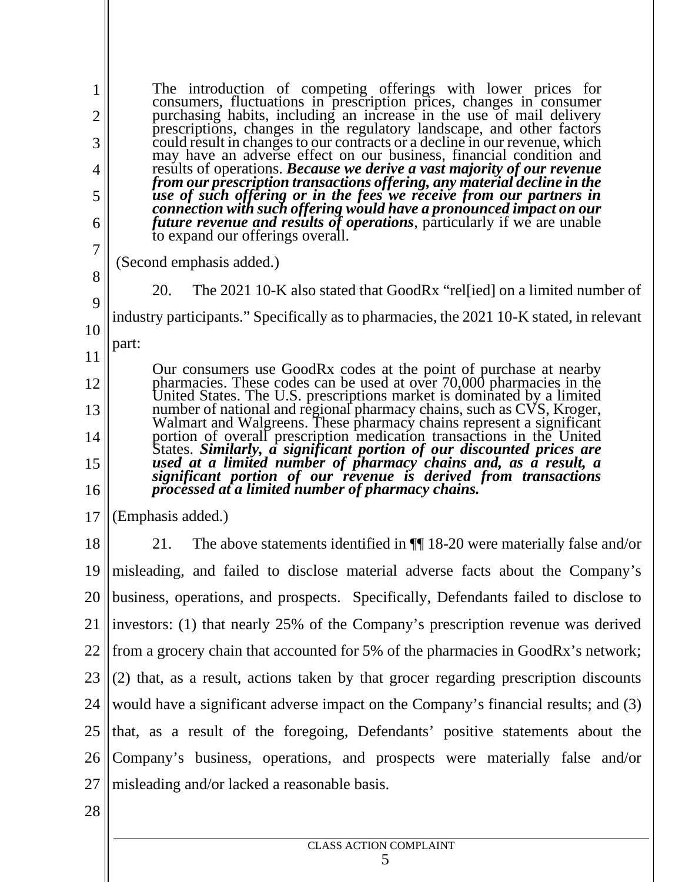$1 \parallel$   $1 \parallel$  $2 \parallel$  f  $3 \parallel$  c  $4 \parallel$  r  $5 \parallel$   $\frac{1}{u}$ 6 **future revenue and results of operations**, particularly if we are unable The introduction of competing offerings with lower prices for consumers, fluctuations in prescription prices, changes in consumer purchasing habits, including an increase in the use of mail delivery prescriptions, changes in the regulatory landscape, and other factors could result in changes to our contracts or a decline in our revenue, which may have an adverse effect on our business, financial condition and may have an adverse effect on our business, financial condition and results of operations. *Because we derive a vast majority of our revenue from our prescription transactions offering, any material decline in the use of such offering or in the fees we receive from our partners in connection with such offering would have a pronounced impact on our* to expand our offerings overall.

- $7 \parallel$  ( $\sim$ (Second emphasis added.)
- 

 $\begin{array}{c|c} 8 & 20 \end{array}$ 20. The 2021 10-K also stated that GoodRx "rel[ied] on a limited number of

 $9 \parallel$ 10 industry participants." Specifically as to pharmacies, the 2021 10-K stated, in relevant

11 part:

12 pharmacies. These codes can be used at over 70,000 pharmacies in the 13 14 portion of overall prescription medication transactions in the United<br>States. Similarly, a significant portion of our discounted prices are 15  $||\mathbf{f}||$  processed at a limited number of pharmacy chains. Our consumers use GoodRx codes at the point of purchase at nearby United States. The U.S. prescriptions market is dominated by a limited number of national and regional pharmacy chains, such as CVS, Kroger, Walmart and Walgreens. These pharmacy chains represent a significant *significant portion of our revenue is derived from transactions processed at a limited number of pharmacy chains.*

17 (Emphasis added.)

 $18 \mid 21.$ 19 misleading, and failed to disclose material adverse facts about the Company's 20 || business, operations, and prospects. Specifically, Defendants failed to disclose to 21 ||investors: (1) that nearly 25% of the Company's prescription revenue was derived | 22 || from a grocery chain that accounted for 5% of the pharmacies in GoodRx's network; |  $23 \parallel (2)$  that, as a result, actions taken by that grocer regarding prescription discounts  $\parallel$ 24 || would have a significant adverse impact on the Company's financial results; and (3) |  $25$  that, as a result of the foregoing, Defendants' positive statements about the 26 Company's business, operations, and prospects were materially false and/or 27 misleading and/or lacked a reasonable basis.21. The above statements identified in ¶¶ 18-20 were materially false and/or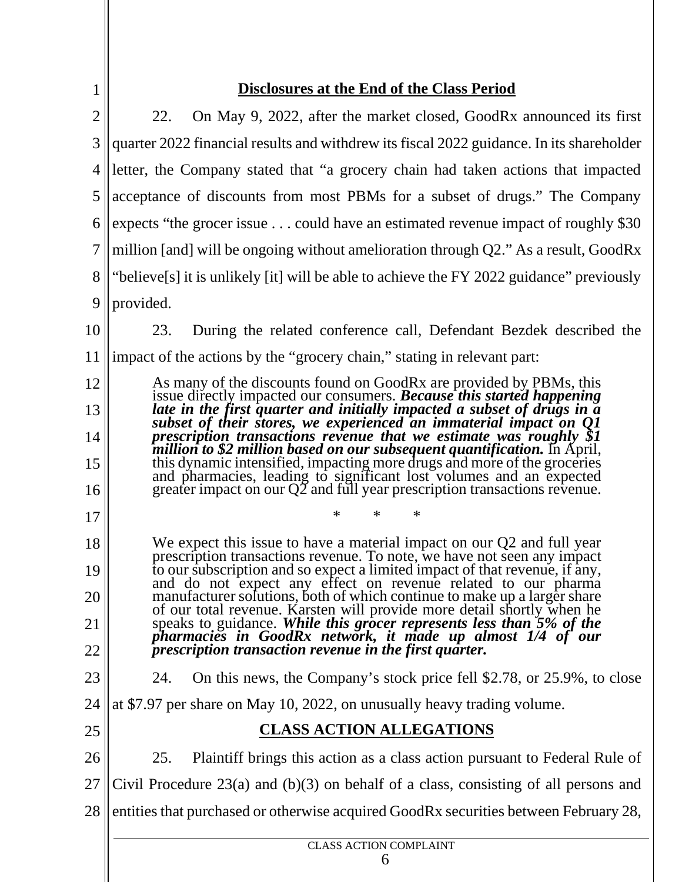$\left| \frac{1}{2} \right|$ 

# **Disclosures at the End of the Class Period**

| $\overline{2}$ | On May 9, 2022, after the market closed, GoodRx announced its first<br>22.                                                                                                                                                       |
|----------------|----------------------------------------------------------------------------------------------------------------------------------------------------------------------------------------------------------------------------------|
| $\mathfrak{Z}$ | quarter 2022 financial results and withdrew its fiscal 2022 guidance. In its shareholder                                                                                                                                         |
| 4              | letter, the Company stated that "a grocery chain had taken actions that impacted                                                                                                                                                 |
| 5              | acceptance of discounts from most PBMs for a subset of drugs." The Company                                                                                                                                                       |
| 6              | expects "the grocer issue $\ldots$ could have an estimated revenue impact of roughly \$30                                                                                                                                        |
| 7              | million [and] will be ongoing without amelioration through $Q2$ ." As a result, GoodRx                                                                                                                                           |
| 8              | "believe[s] it is unlikely [it] will be able to achieve the FY 2022 guidance" previously                                                                                                                                         |
| 9              | provided.                                                                                                                                                                                                                        |
| 10             | During the related conference call, Defendant Bezdek described the<br>23.                                                                                                                                                        |
| 11             | impact of the actions by the "grocery chain," stating in relevant part:                                                                                                                                                          |
| 12             | As many of the discounts found on GoodRx are provided by PBMs, this issue directly impacted our consumers. <b>Because this started happening</b> late in the first quarter and initially impacted a subset of drugs in a         |
| 13             |                                                                                                                                                                                                                                  |
| 14             | subset of their stores, we experienced an immaterial impact on O1<br>prescription transactions revenue that we estimate was roughly \$1<br>million to \$2 million based on our subsequent quantification. In April,              |
| 15             | this dynamic intensified, impacting more drugs and more of the groceries<br>and pharmacies, leading to significant lost volumes and an expected<br>greater impact on our Q2 and full year prescription transactions revenue.     |
| 16             |                                                                                                                                                                                                                                  |
| 17             | $\ast$<br>$\ast$<br>∗                                                                                                                                                                                                            |
| 18             | We expect this issue to have a material impact on our Q2 and full year<br>prescription transactions revenue. To note, we have not seen any impact<br>to our subscription and so expect a limited impact of that revenue, if any, |
| 19             | and do not expect any effect on revenue related to our pharma                                                                                                                                                                    |
| 20             | manufacturer solutions, both of which continue to make up a larger share<br>of our total revenue. Karsten will provide more detail shortly when he                                                                               |
| 21             | speaks to guidance. While this grocer represents less than 5% of the pharmacies in GoodRx network, it made up almost 1/4 of our                                                                                                  |
| 22             | prescription transaction revenue in the first quarter.                                                                                                                                                                           |
| 23             | On this news, the Company's stock price fell \$2.78, or 25.9%, to close<br>24.                                                                                                                                                   |
| 24             | at \$7.97 per share on May 10, 2022, on unusually heavy trading volume.                                                                                                                                                          |
| 25             | <b>CLASS ACTION ALLEGATIONS</b>                                                                                                                                                                                                  |
| 26             | 25.<br>Plaintiff brings this action as a class action pursuant to Federal Rule of                                                                                                                                                |
| 27             | Civil Procedure $23(a)$ and $(b)(3)$ on behalf of a class, consisting of all persons and                                                                                                                                         |
| 28             | entities that purchased or otherwise acquired GoodRx securities between February 28,                                                                                                                                             |
|                | <b>CLASS ACTION COMPLAINT</b>                                                                                                                                                                                                    |
|                | 6                                                                                                                                                                                                                                |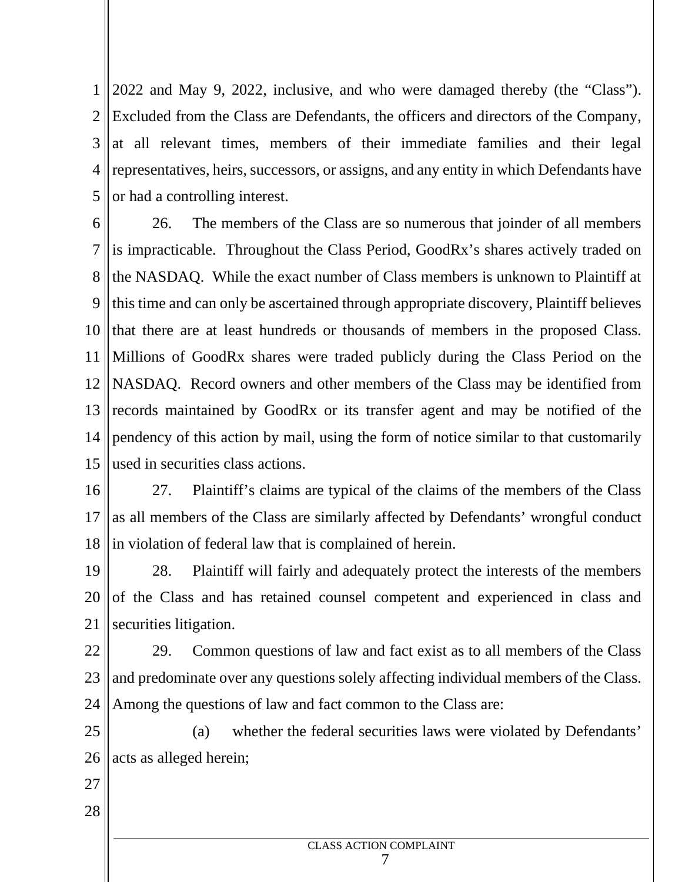1 2022 and May 9, 2022, inclusive, and who were damaged thereby (the "Class"). 2 Excluded from the Class are Defendants, the officers and directors of the Company, 3 at all relevant times, members of their immediate families and their legal 4 || representatives, heirs, successors, or assigns, and any entity in which Defendants have |  $5$  or had a controlling interest.

6  $\parallel$  2 7 || is impracticable. Throughout the Class Period, GoodRx's shares actively traded on 8 the NASDAQ. While the exact number of Class members is unknown to Plaintiff at 9 || this time and can only be ascertained through appropriate discovery, Plaintiff believes ||  $10$  that there are at least hundreds or thousands of members in the proposed Class. 11 Millions of GoodRx shares were traded publicly during the Class Period on the 12 NASDAQ. Record owners and other members of the Class may be identified from 13 records maintained by GoodRx or its transfer agent and may be notified of the 14 pendency of this action by mail, using the form of notice similar to that customarily 15 used in securities class actions. 26. The members of the Class are so numerous that joinder of all members

 $16 \parallel 27.$ 17 as all members of the Class are similarly affected by Defendants' wrongful conduct 18 in violation of federal law that is complained of herein. Plaintiff's claims are typical of the claims of the members of the Class

 $19 \parallel 28.$  $20$  of the Class and has retained counsel competent and experienced in class and 21 securities litigation. Plaintiff will fairly and adequately protect the interests of the members

 $22 \parallel 29.$ 23 || and predominate over any questions solely affecting individual members of the Class.  $\vert$ 24 Among the questions of law and fact common to the Class are: 29. Common questions of law and fact exist as to all members of the Class

25  $26$  || acts as alleged herein; (a) whether the federal securities laws were violated by Defendants'

- 27
- 28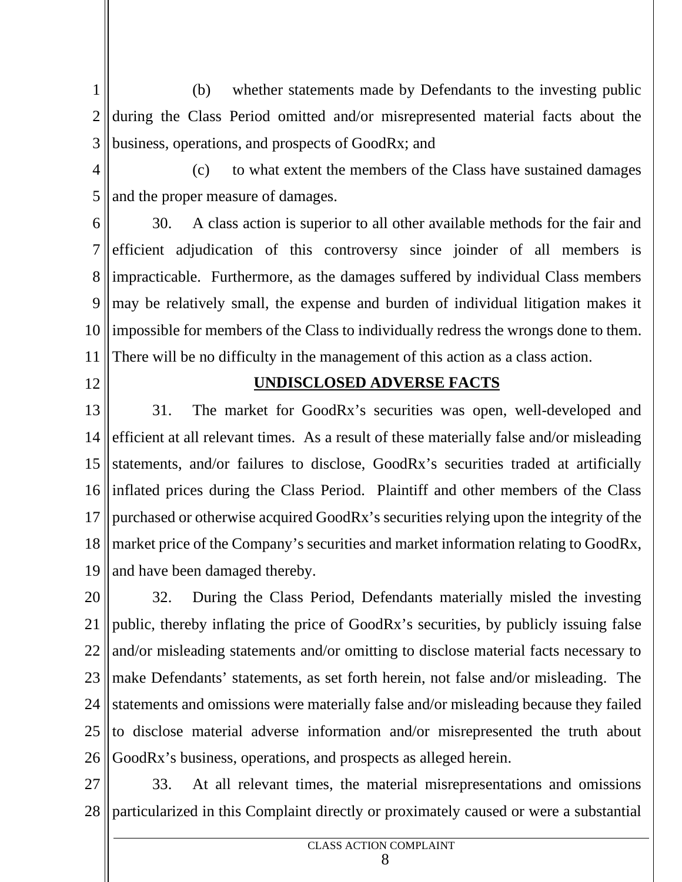$1 \parallel$ 2 during the Class Period omitted and/or misrepresented material facts about the 3 business, operations, and prospects of GoodRx; and (b) whether statements made by Defendants to the investing public

 $4 \parallel$ 5 || and the proper measure of damages. (c) to what extent the members of the Class have sustained damages

 $6 \parallel 30.$ 7 efficient adjudication of this controversy since joinder of all members is 8 || impracticable. Furthermore, as the damages suffered by individual Class members | 9 || may be relatively small, the expense and burden of individual litigation makes it 10 || impossible for members of the Class to individually redress the wrongs done to them. 11 There will be no difficulty in the management of this action as a class action. A class action is superior to all other available methods for the fair and

12

## **UNDISCLOSED ADVERSE FACTS**

 $13 \parallel 31.$ 14 efficient at all relevant times. As a result of these materially false and/or misleading | 15 statements, and/or failures to disclose, GoodRx's securities traded at artificially 16 inflated prices during the Class Period. Plaintiff and other members of the Class 17 || purchased or otherwise acquired GoodRx's securities relying upon the integrity of the 18 || market price of the Company's securities and market information relating to GoodRx, | 19 and have been damaged thereby. The market for GoodRx's securities was open, well-developed and

 $20 \parallel 32$ 21 || public, thereby inflating the price of GoodRx's securities, by publicly issuing false |  $22$  || and/or misleading statements and/or omitting to disclose material facts necessary to | 23 || make Defendants' statements, as set forth herein, not false and/or misleading. The 24 Statements and omissions were materially false and/or misleading because they failed  $25$  to disclose material adverse information and/or misrepresented the truth about 26 GoodRx's business, operations, and prospects as alleged herein. 32. During the Class Period, Defendants materially misled the investing

 $27 \parallel$  33. 28 particularized in this Complaint directly or proximately caused or were a substantial33. At all relevant times, the material misrepresentations and omissions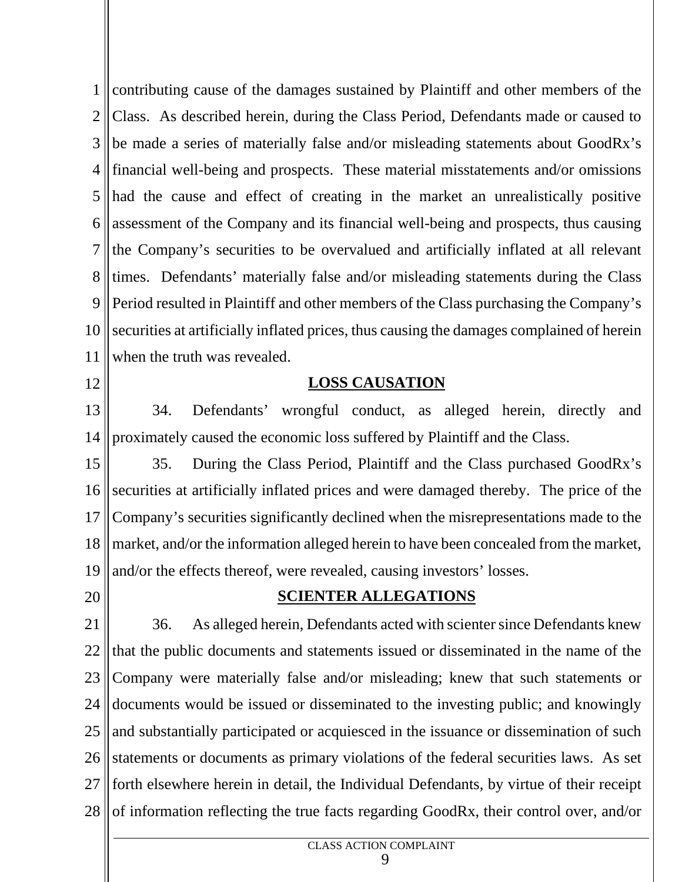1 || contributing cause of the damages sustained by Plaintiff and other members of the 2 Class. As described herein, during the Class Period, Defendants made or caused to 3 || be made a series of materially false and/or misleading statements about GoodRx's | 4 financial well-being and prospects. These material misstatements and/or omissions 5 had the cause and effect of creating in the market an unrealistically positive 6 assessment of the Company and its financial well-being and prospects, thus causing  $\vert$ 7 the Company's securities to be overvalued and artificially inflated at all relevant 8 times. Defendants' materially false and/or misleading statements during the Class 9 || Period resulted in Plaintiff and other members of the Class purchasing the Company's || 10 securities at artificially inflated prices, thus causing the damages complained of herein 11 when the truth was revealed.

12

#### **LOSS CAUSATION**

 $13 \parallel$  34. 14 proximately caused the economic loss suffered by Plaintiff and the Class. Defendants' wrongful conduct, as alleged herein, directly and

 $15 \parallel 35.$ 16 securities at artificially inflated prices and were damaged thereby. The price of the 17 Company's securities significantly declined when the misrepresentations made to the 18 || market, and/or the information alleged herein to have been concealed from the market, | 19 and/or the effects thereof, were revealed, causing investors' losses. 35. During the Class Period, Plaintiff and the Class purchased GoodRx's

20

#### **SCIENTER ALLEGATIONS**

 $21 \parallel 36.$ 22 || that the public documents and statements issued or disseminated in the name of the  $\vert$ 23 Company were materially false and/or misleading; knew that such statements or 24 documents would be issued or disseminated to the investing public; and knowingly  $\vert$  $25$  and substantially participated or acquiesced in the issuance or dissemination of such  $\parallel$ 26 Statements or documents as primary violations of the federal securities laws. As set 27 || forth elsewhere herein in detail, the Individual Defendants, by virtue of their receipt |  $28 \cdot$  of information reflecting the true facts regarding GoodRx, their control over, and/or As alleged herein, Defendants acted with scienter since Defendants knew

> CLASS ACTION COMPLAINT 9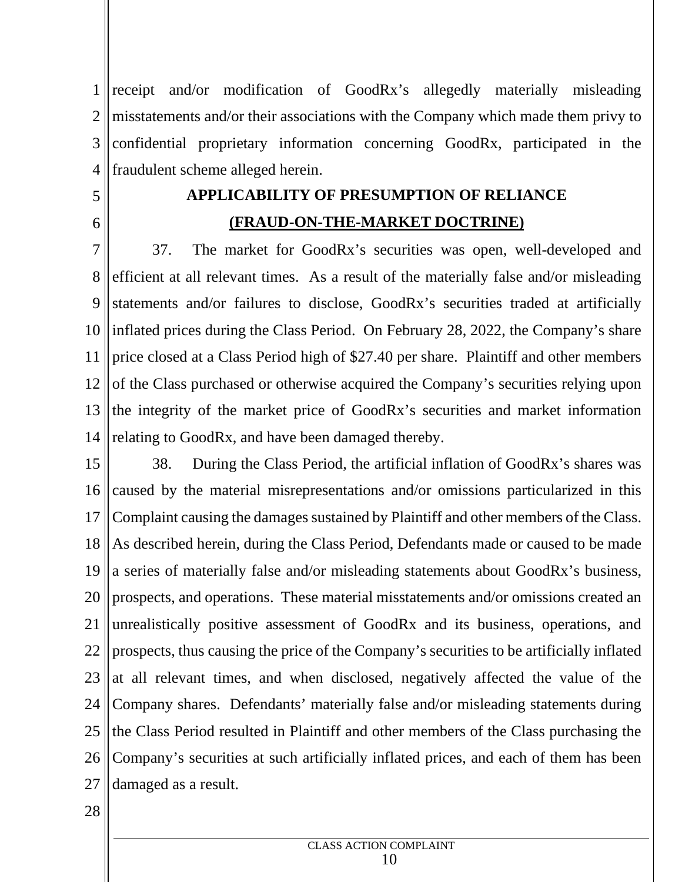1 || receipt and/or modification of GoodRx's allegedly materially misleading | 2 || misstatements and/or their associations with the Company which made them privy to | 3 confidential proprietary information concerning GoodRx, participated in the 4 fraudulent scheme alleged herein.

- $5 \parallel$
- 6

# **APPLICABILITY OF PRESUMPTION OF RELIANCE (FRAUD-ON-THE-MARKET DOCTRINE)**

 $7 \parallel 37$ 8 efficient at all relevant times. As a result of the materially false and/or misleading | 9 statements and/or failures to disclose, GoodRx's securities traded at artificially 10 || inflated prices during the Class Period. On February 28, 2022, the Company's share 11 || price closed at a Class Period high of \$27.40 per share. Plaintiff and other members | 12 of the Class purchased or otherwise acquired the Company's securities relying upon  $13$  the integrity of the market price of GoodRx's securities and market information 14 || relating to GoodRx, and have been damaged thereby. The market for GoodRx's securities was open, well-developed and

 $15 \parallel 38$ 16 caused by the material misrepresentations and/or omissions particularized in this 17 Complaint causing the damages sustained by Plaintiff and other members of the Class. 18 As described herein, during the Class Period, Defendants made or caused to be made 19 a series of materially false and/or misleading statements about GoodRx's business, 20 || prospects, and operations. These material misstatements and/or omissions created an 21 ||unrealistically positive assessment of GoodRx and its business, operations, and | 22 || prospects, thus causing the price of the Company's securities to be artificially inflated | 23 || at all relevant times, and when disclosed, negatively affected the value of the 24 Company shares. Defendants' materially false and/or misleading statements during 25 || the Class Period resulted in Plaintiff and other members of the Class purchasing the  $\parallel$ 26 Company's securities at such artificially inflated prices, and each of them has been 27 damaged as a result.During the Class Period, the artificial inflation of GoodRx's shares was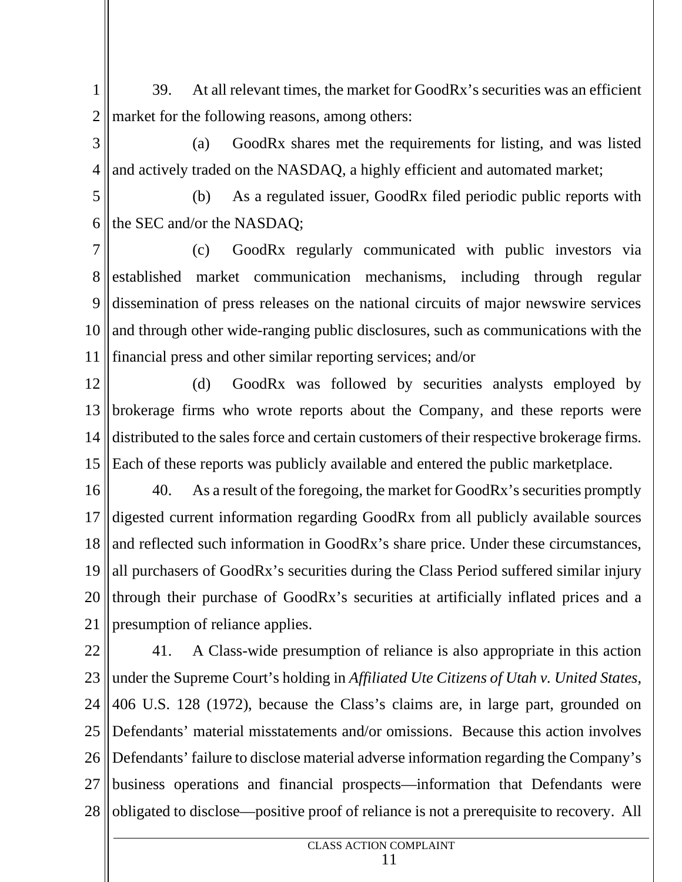$1 \parallel$  3 2 market for the following reasons, among others: 39. At all relevant times, the market for GoodRx's securities was an efficient

- $3 \parallel$  $4$  || and actively traded on the NASDAQ, a highly efficient and automated market; (a) GoodRx shares met the requirements for listing, and was listed
- $5 \parallel$ 6 the SEC and/or the NASDAQ; (b) As a regulated issuer, GoodRx filed periodic public reports with

 $7 \parallel$ 8 established market communication mechanisms, including through regular 9 dissemination of press releases on the national circuits of major newswire services  $10$  and through other wide-ranging public disclosures, such as communications with the 11 financial press and other similar reporting services; and/or (c) GoodRx regularly communicated with public investors via

12 13 brokerage firms who wrote reports about the Company, and these reports were 14 distributed to the sales force and certain customers of their respective brokerage firms. 15 Each of these reports was publicly available and entered the public marketplace. (d) GoodRx was followed by securities analysts employed by

 $16 \parallel 40.$ 17 digested current information regarding GoodRx from all publicly available sources 18 and reflected such information in GoodRx's share price. Under these circumstances, 19 all purchasers of GoodRx's securities during the Class Period suffered similar injury 20 || through their purchase of GoodRx's securities at artificially inflated prices and a 21 presumption of reliance applies. As a result of the foregoing, the market for GoodRx's securities promptly

 $22 \parallel 41$ 23 under the Supreme Court's holding in *Affiliated Ute Citizens of Utah v. United States*,  $24 \parallel 406$  U.S. 128 (1972), because the Class's claims are, in large part, grounded on 25 Defendants' material misstatements and/or omissions. Because this action involves 26 Defendants' failure to disclose material adverse information regarding the Company's 27 business operations and financial prospects—information that Defendants were 28 || obligated to disclose—positive proof of reliance is not a prerequisite to recovery. All 41. A Class-wide presumption of reliance is also appropriate in this action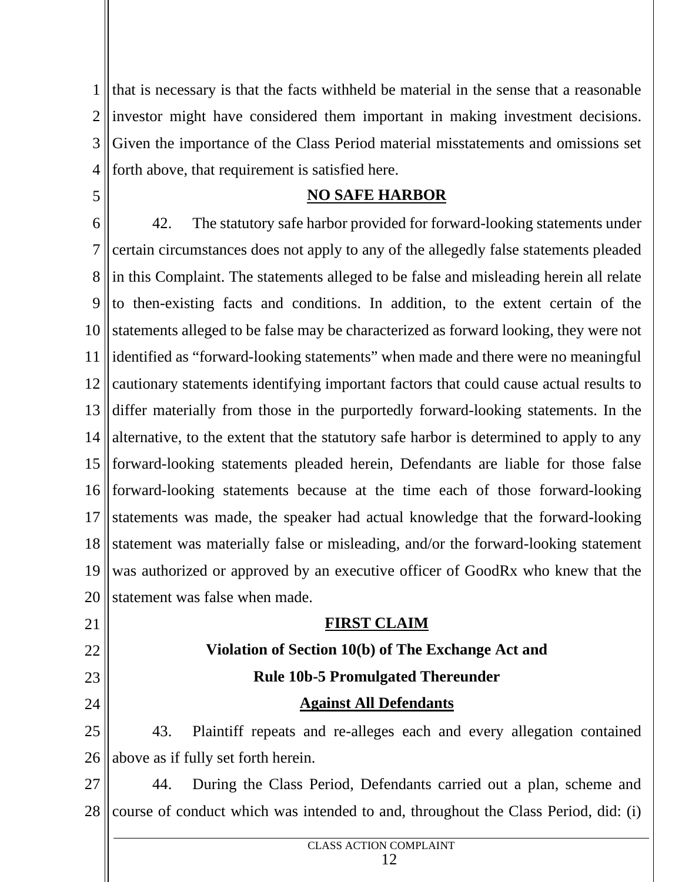$1$  that is necessary is that the facts withheld be material in the sense that a reasonable 2 ||investor might have considered them important in making investment decisions. | 3 Given the importance of the Class Period material misstatements and omissions set 4 forth above, that requirement is satisfied here.

### **NO SAFE HARBOR**

5

21

22

23

24

 $6 \parallel 42.$ 7 || certain circumstances does not apply to any of the allegedly false statements pleaded | 8 || in this Complaint. The statements alleged to be false and misleading herein all relate |  $9$  to then-existing facts and conditions. In addition, to the extent certain of the 10 statements alleged to be false may be characterized as forward looking, they were not 11 dentified as "forward-looking statements" when made and there were no meaningful 12 cautionary statements identifying important factors that could cause actual results to 13 differ materially from those in the purportedly forward-looking statements. In the 14 alternative, to the extent that the statutory safe harbor is determined to apply to any 15 forward-looking statements pleaded herein, Defendants are liable for those false 16 forward-looking statements because at the time each of those forward-looking 17 statements was made, the speaker had actual knowledge that the forward-looking 18 statement was materially false or misleading, and/or the forward-looking statement 19 was authorized or approved by an executive officer of GoodRx who knew that the 20 statement was false when made. The statutory safe harbor provided for forward-looking statements under

# **FIRST CLAIM**

# **Violation of Section 10(b) of The Exchange Act and Rule 10b-5 Promulgated Thereunder**

## **Against All Defendants**

 $25 \parallel$  43 26 above as if fully set forth herein. 43. Plaintiff repeats and re-alleges each and every allegation contained

 $27 \parallel$  44. 28 || course of conduct which was intended to and, throughout the Class Period, did: (i) During the Class Period, Defendants carried out a plan, scheme and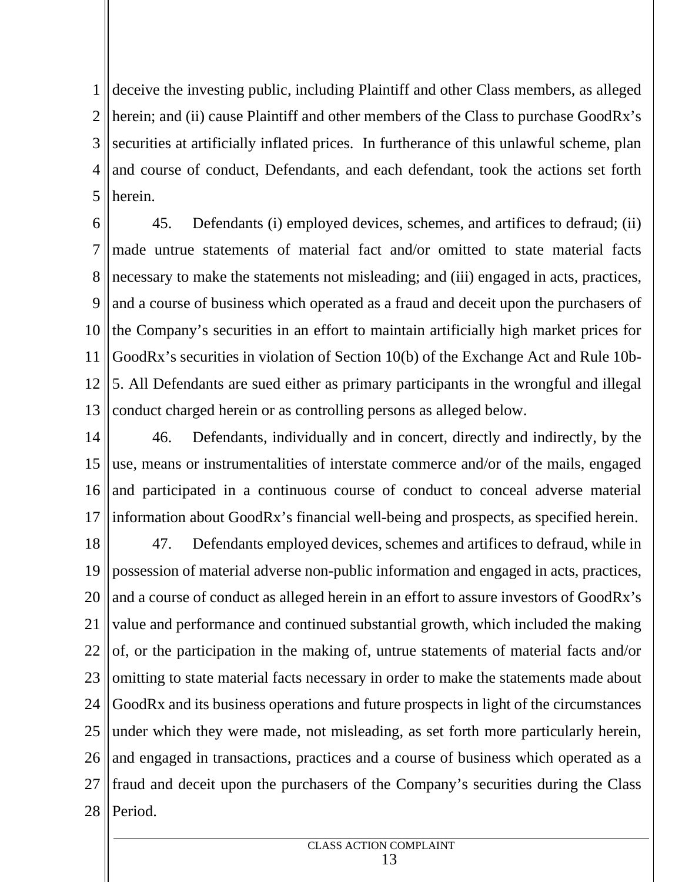1 deceive the investing public, including Plaintiff and other Class members, as alleged 2 || herein; and (ii) cause Plaintiff and other members of the Class to purchase GoodRx's | 3 Securities at artificially inflated prices. In furtherance of this unlawful scheme, plan  $4$  and course of conduct, Defendants, and each defendant, took the actions set forth 5 herein.

6 || 4 7 made untrue statements of material fact and/or omitted to state material facts 8 || necessary to make the statements not misleading; and (iii) engaged in acts, practices, 9 || and a course of business which operated as a fraud and deceit upon the purchasers of |  $10$  the Company's securities in an effort to maintain artificially high market prices for 11 GoodRx's securities in violation of Section 10(b) of the Exchange Act and Rule 10b- 12 5. All Defendants are sued either as primary participants in the wrongful and illegal 13 conduct charged herein or as controlling persons as alleged below. 45. Defendants (i) employed devices, schemes, and artifices to defraud; (ii)

 $14 \parallel 46$ 15 || use, means or instrumentalities of interstate commerce and/or of the mails, engaged  $16$  and participated in a continuous course of conduct to conceal adverse material 17 || information about GoodRx's financial well-being and prospects, as specified herein. Defendants, individually and in concert, directly and indirectly, by the

 $18 \parallel 47.$ 19 possession of material adverse non-public information and engaged in acts, practices, 20  $\parallel$  and a course of conduct as alleged herein in an effort to assure investors of GoodRx's  $\parallel$ 21 || value and performance and continued substantial growth, which included the making |  $22$  of, or the participation in the making of, untrue statements of material facts and/or 23 || omitting to state material facts necessary in order to make the statements made about | 24 GoodRx and its business operations and future prospects in light of the circumstances 25 || under which they were made, not misleading, as set forth more particularly herein, |  $26$  and engaged in transactions, practices and a course of business which operated as a 27 || fraud and deceit upon the purchasers of the Company's securities during the Class | 28 Period.Defendants employed devices, schemes and artifices to defraud, while in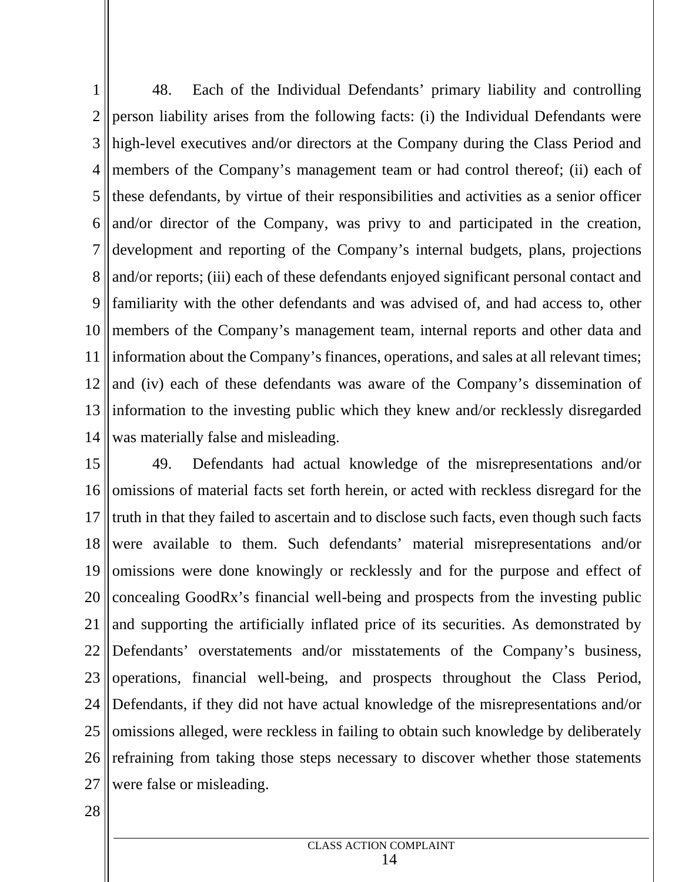$1 \parallel$  4 2 || person liability arises from the following facts: (i) the Individual Defendants were 3 || high-level executives and/or directors at the Company during the Class Period and | 4 || members of the Company's management team or had control thereof; (ii) each of  $5$  || these defendants, by virtue of their responsibilities and activities as a senior officer  $6$  || and/or director of the Company, was privy to and participated in the creation, 7 development and reporting of the Company's internal budgets, plans, projections 8 || and/or reports; (iii) each of these defendants enjoyed significant personal contact and 9 || familiarity with the other defendants and was advised of, and had access to, other 10 members of the Company's management team, internal reports and other data and 11 || information about the Company's finances, operations, and sales at all relevant times; |  $12$  and (iv) each of these defendants was aware of the Company's dissemination of 13 information to the investing public which they knew and/or recklessly disregarded 14 was materially false and misleading. 48. Each of the Individual Defendants' primary liability and controlling

 $15 \,$ |  $49.$ 16 || omissions of material facts set forth herein, or acted with reckless disregard for the  $17$  truth in that they failed to ascertain and to disclose such facts, even though such facts 18 were available to them. Such defendants' material misrepresentations and/or 19 || omissions were done knowingly or recklessly and for the purpose and effect of 20 || concealing GoodRx's financial well-being and prospects from the investing public | 21 || and supporting the artificially inflated price of its securities. As demonstrated by  $\vert$ 22 Defendants' overstatements and/or misstatements of the Company's business, 23 operations, financial well-being, and prospects throughout the Class Period, 24 || Defendants, if they did not have actual knowledge of the misrepresentations and/or | 25 ||omissions alleged, were reckless in failing to obtain such knowledge by deliberately | 26 || refraining from taking those steps necessary to discover whether those statements | 27 were false or misleading.Defendants had actual knowledge of the misrepresentations and/or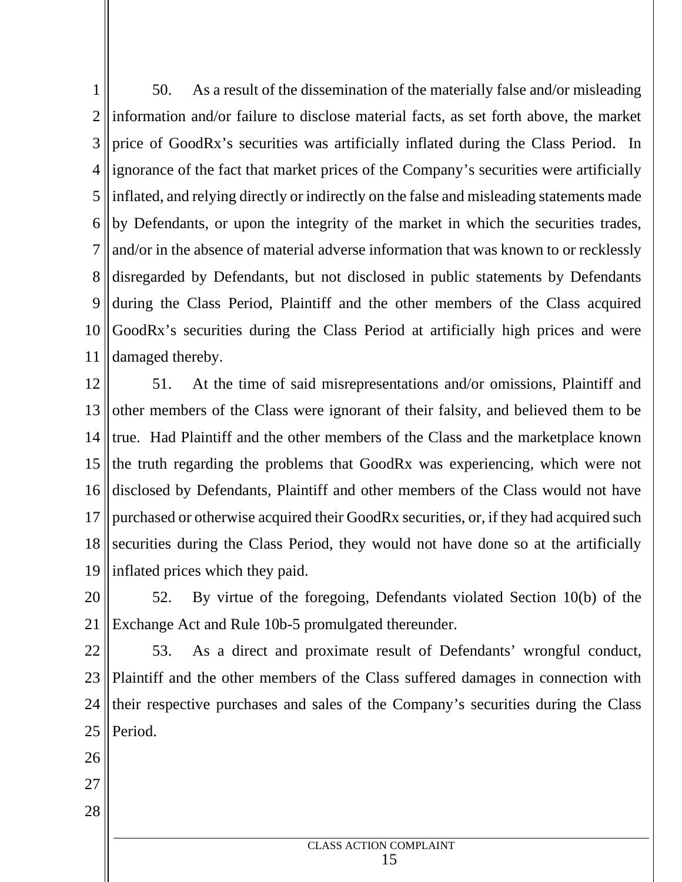$1 \parallel 5$  $2 \parallel$  information and/or failure to disclose material facts, as set forth above, the market  $\parallel$ 3 || price of GoodRx's securities was artificially inflated during the Class Period. In 4 ||ignorance of the fact that market prices of the Company's securities were artificially |  $5$  || inflated, and relying directly or indirectly on the false and misleading statements made | 6 || by Defendants, or upon the integrity of the market in which the securities trades, 7 || and/or in the absence of material adverse information that was known to or recklessly | 8 disregarded by Defendants, but not disclosed in public statements by Defendants and 9 during the Class Period, Plaintiff and the other members of the Class acquired 10 GoodRx's securities during the Class Period at artificially high prices and were 11 damaged thereby. 50. As a result of the dissemination of the materially false and/or misleading

 $12 \parallel 51.$ 13 other members of the Class were ignorant of their falsity, and believed them to be 14 true. Had Plaintiff and the other members of the Class and the market place known 15 the truth regarding the problems that GoodRx was experiencing, which were not 16 disclosed by Defendants, Plaintiff and other members of the Class would not have 17 || purchased or otherwise acquired their GoodRx securities, or, if they had acquired such 18 securities during the Class Period, they would not have done so at the artificially 19 inflated prices which they paid. At the time of said misrepresentations and/or omissions, Plaintiff and

 $20 \parallel 52.$ 21 Exchange Act and Rule 10b-5 promulgated thereunder. 52. By virtue of the foregoing, Defendants violated Section 10(b) of the

 $22$  | 53. 23 || Plaintiff and the other members of the Class suffered damages in connection with | 24 || their respective purchases and sales of the Company's securities during the Class | 25 Period.As a direct and proximate result of Defendants' wrongful conduct,

- 26
- 27
- 28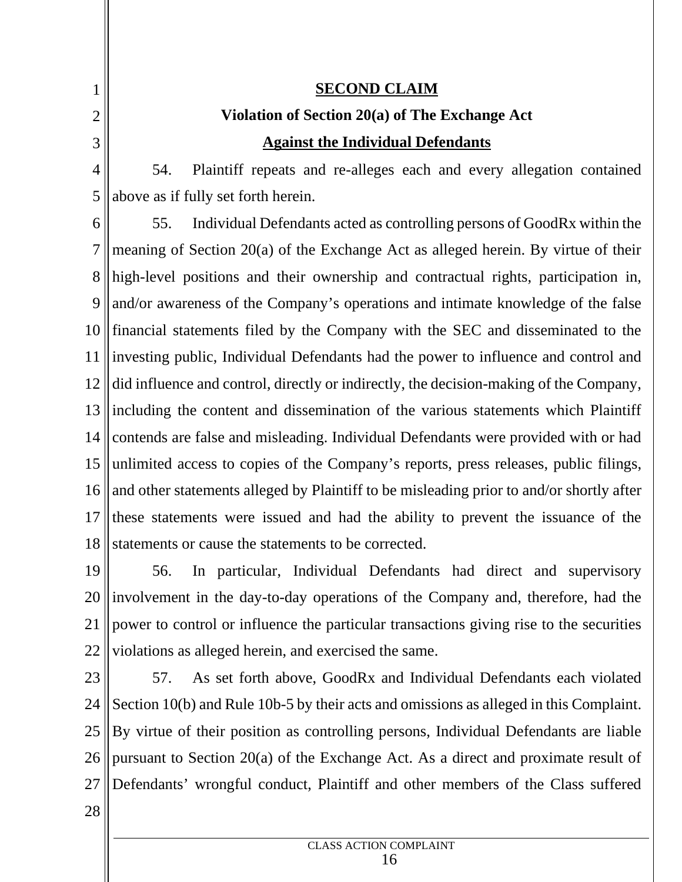2  $3 \parallel$ 

 $1 \parallel$ 

### **SECOND CLAIM**

# **Violation of Section 20(a) of The Exchange Act Against the Individual Defendants**

 $4 \parallel 54.$ 5 above as if fully set forth herein. 54. Plaintiff repeats and re-alleges each and every allegation contained

 $6 \parallel 55$ 7 meaning of Section 20(a) of the Exchange Act as alleged herein. By virtue of their 8 high-level positions and their ownership and contractual rights, participation in, 9 || and/or awareness of the Company's operations and intimate knowledge of the false 10 financial statements filed by the Company with the SEC and disseminated to the 11 ||investing public, Individual Defendants had the power to influence and control and 12 did influence and control, directly or indirectly, the decision-making of the Company, 13 lincluding the content and dissemination of the various statements which Plaintiff | 14 contends are false and misleading. Individual Defendants were provided with or had 15 || unlimited access to copies of the Company's reports, press releases, public filings, 16 and other statements alleged by Plaintiff to be misleading prior to and/or shortly after  $17$  these statements were issued and had the ability to prevent the issuance of the 18 statements or cause the statements to be corrected. 55. Individual Defendants acted as controlling persons of GoodRx within the

 $19 \mid 56.$ 20 || involvement in the day-to-day operations of the Company and, therefore, had the 21 || power to control or influence the particular transactions giving rise to the securities | 22 || violations as alleged herein, and exercised the same. In particular, Individual Defendants had direct and supervisory

 $23$  | 57 24 Section 10(b) and Rule 10b-5 by their acts and omissions as alleged in this Complaint. 25 || By virtue of their position as controlling persons, Individual Defendants are liable | 26 || pursuant to Section 20(a) of the Exchange Act. As a direct and proximate result of 27 Defendants' wrongful conduct, Plaintiff and other members of the Class sufferedAs set forth above, GoodRx and Individual Defendants each violated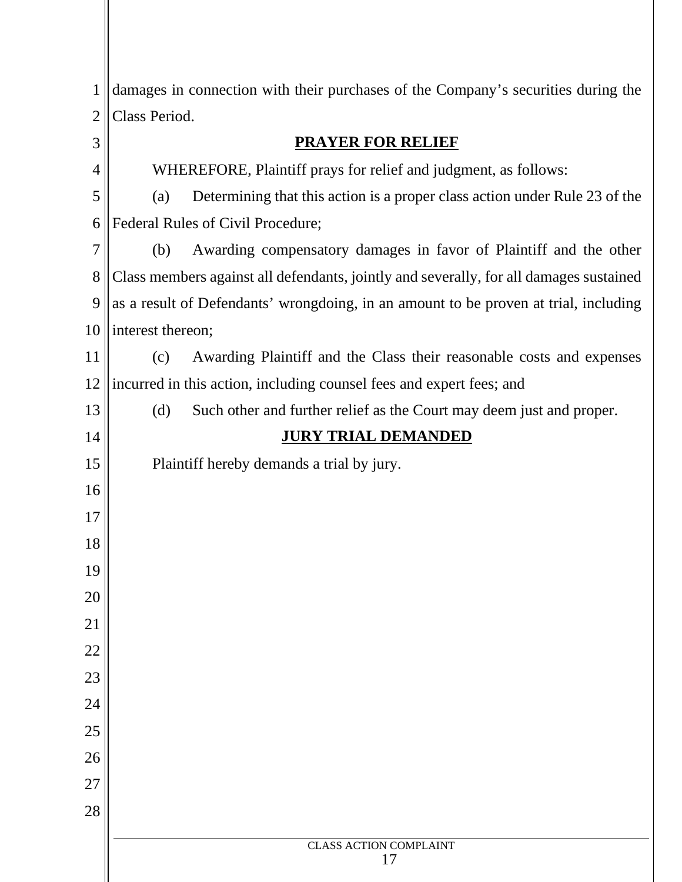| 1  | damages in connection with their purchases of the Company's securities during the      |
|----|----------------------------------------------------------------------------------------|
| 2  | Class Period.                                                                          |
| 3  | <b>PRAYER FOR RELIEF</b>                                                               |
| 4  | WHEREFORE, Plaintiff prays for relief and judgment, as follows:                        |
| 5  | Determining that this action is a proper class action under Rule 23 of the<br>(a)      |
| 6  | Federal Rules of Civil Procedure;                                                      |
| 7  | Awarding compensatory damages in favor of Plaintiff and the other<br>(b)               |
| 8  | Class members against all defendants, jointly and severally, for all damages sustained |
| 9  | as a result of Defendants' wrongdoing, in an amount to be proven at trial, including   |
| 10 | interest thereon;                                                                      |
| 11 | Awarding Plaintiff and the Class their reasonable costs and expenses<br>(c)            |
| 12 | incurred in this action, including counsel fees and expert fees; and                   |
| 13 | (d)<br>Such other and further relief as the Court may deem just and proper.            |
| 14 | <b>JURY TRIAL DEMANDED</b>                                                             |
| 15 | Plaintiff hereby demands a trial by jury.                                              |
| 16 |                                                                                        |
| 17 |                                                                                        |
| 18 |                                                                                        |
| 19 |                                                                                        |
| 20 |                                                                                        |
| 21 |                                                                                        |
| 22 |                                                                                        |
| 23 |                                                                                        |
| 24 |                                                                                        |
| 25 |                                                                                        |
| 26 |                                                                                        |
| 27 |                                                                                        |
| 28 |                                                                                        |
|    | <b>CLASS ACTION COMPLAINT</b><br>17                                                    |
|    |                                                                                        |